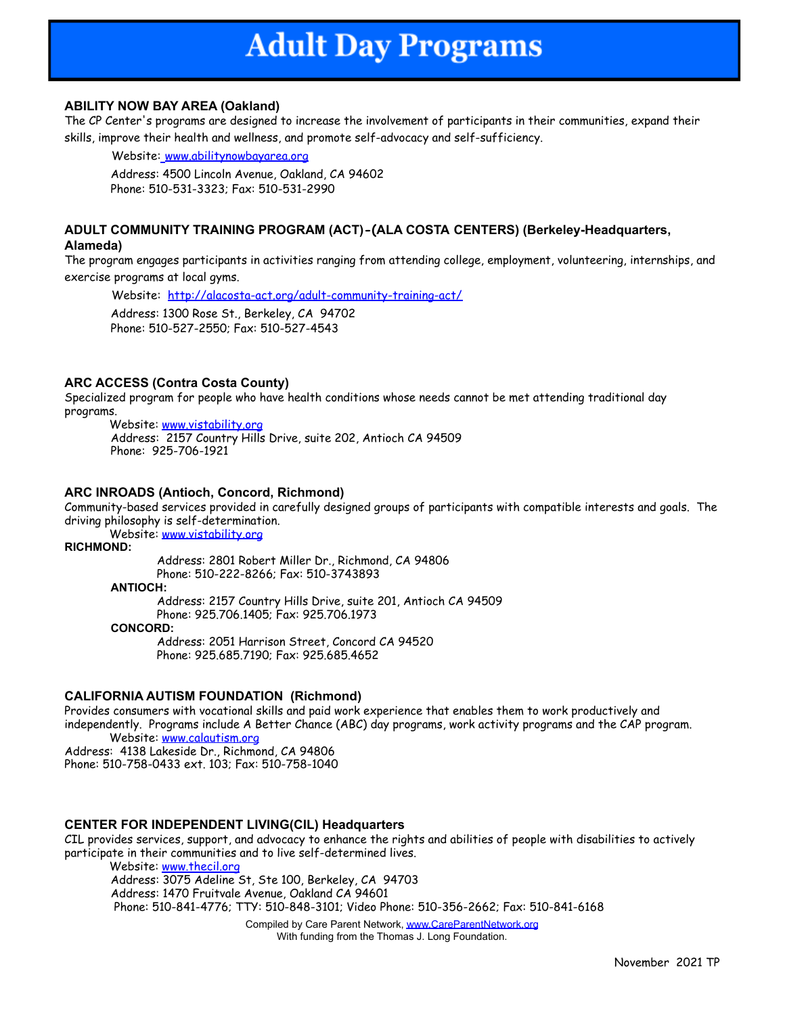## **ABILITY NOW BAY AREA (Oakland)**

The CP Center's programs are designed to increase the involvement of participants in their communities, expand their skills, improve their health and wellness, and promote self-advocacy and self-sufficiency.

Website: www.abilitynowbayarea.org

Address: 4500 Lincoln Avenue, Oakland, CA 94602 Phone: 510-531-3323; Fax: 510-531-2990

## **ADULT COMMUNITY TRAINING PROGRAM (ACT)-(ALA COSTA CENTERS) (Berkeley-Headquarters, Alameda)**

The program engages participants in activities ranging from attending college, employment, volunteering, internships, and exercise programs at local gyms.

Website: <http://alacosta-act.org/adult-community-training-act/>

Address: 1300 Rose St., Berkeley, CA 94702 Phone: 510-527-2550; Fax: 510-527-4543

## **ARC ACCESS (Contra Costa County)**

Specialized program for people who have health conditions whose needs cannot be met attending traditional day programs.

Website: [www.vistability.org](http://www.vistability.org) Address: 2157 Country Hills Drive, suite 202, Antioch CA 94509 Phone: 925-706-1921

## **ARC INROADS (Antioch, Concord, Richmond)**

Community-based services provided in carefully designed groups of participants with compatible interests and goals. The driving philosophy is self-determination.

Website: [www.vistability.org](http://www.vistability.org)

## **RICHMOND:**

Address: 2801 Robert Miller Dr., Richmond, CA 94806 Phone: 510-222-8266; Fax: 510-3743893

**ANTIOCH:**

Address: 2157 Country Hills Drive, suite 201, Antioch CA 94509 Phone: 925.706.1405; Fax: 925.706.1973

**CONCORD:**

Address: 2051 Harrison Street, Concord CA 94520 Phone: 925.685.7190; Fax: 925.685.4652

## **CALIFORNIA AUTISM FOUNDATION (Richmond)**

Provides consumers with vocational skills and paid work experience that enables them to work productively and independently. Programs include A Better Chance (ABC) day programs, work activity programs and the CAP program. Website: www.calautism.org

Address: 4138 Lakeside Dr., Richmond, CA 94806 Phone: 510-758-0433 ext. 103; Fax: 510-758-1040

## **CENTER FOR INDEPENDENT LIVING(CIL) Headquarters**

CIL provides services, support, and advocacy to enhance the rights and abilities of people with disabilities to actively participate in their communities and to live self-determined lives.

Website: [www.thecil.org](http://www.thecil.org) Address: 3075 Adeline St, Ste 100, Berkeley, CA 94703 Address: 1470 Fruitvale Avenue, Oakland CA 94601 Phone: 510-841-4776; TTY: 510-848-3101; Video Phone: 510-356-2662; Fax: 510-841-6168

Compiled by Care Parent Network, [www.CareParentNetwork.org](http://www.careparentnetwork.org) With funding from the Thomas J. Long Foundation.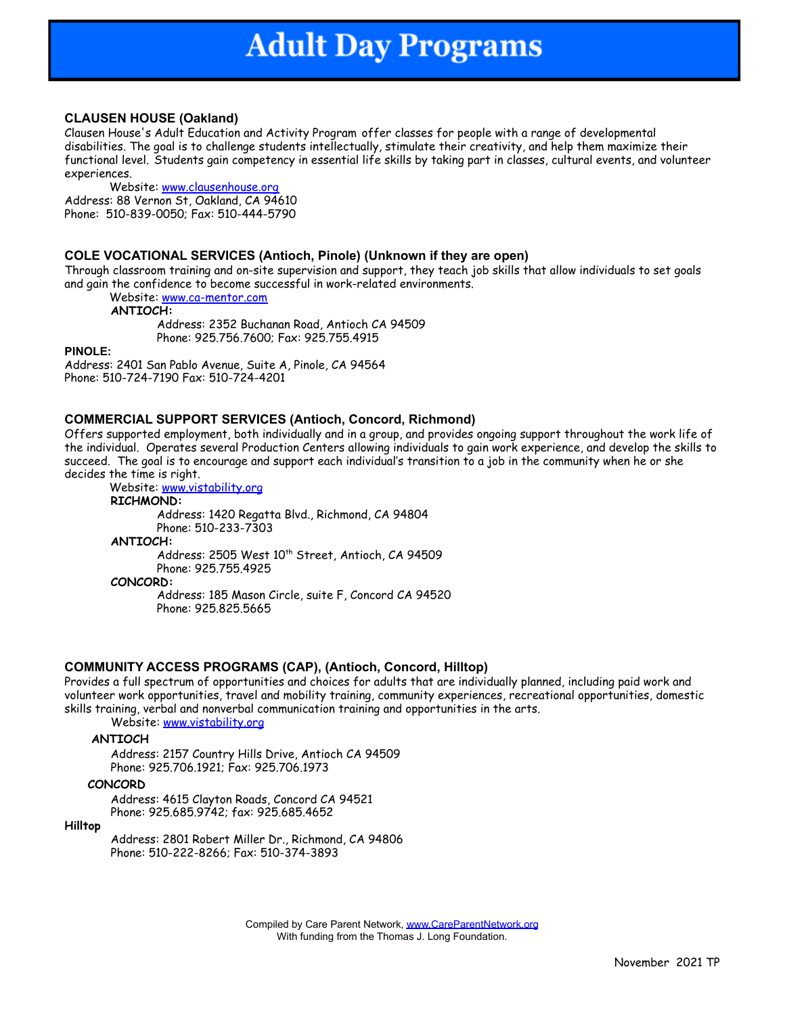### **CLAUSEN HOUSE (Oakland)**

Clausen House's Adult Education and Activity Program offer classes for people with a range of developmental disabilities. The goal is to challenge students intellectually, stimulate their creativity, and help them maximize their functional level. Students gain competency in essential life skills by taking part in classes, cultural events, and volunteer experiences.

Website: [www.clausenhouse.org](http://www.clausenhouse.org) Address: 88 Vernon St, Oakland, CA 94610 Phone: 510-839-0050; Fax: 510-444-5790

### **COLE VOCATIONAL SERVICES (Antioch, Pinole) (Unknown if they are open)**

Through classroom training and on-site supervision and support, they teach job skills that allow individuals to set goals and gain the confidence to become successful in work-related environments.

Website: [www.ca-mentor.com](http://www.ca-mentor.com)

**ANTIOCH:**

Address: 2352 Buchanan Road, Antioch CA 94509 Phone: 925.756.7600; Fax: 925.755.4915

**PINOLE:**

Address: 2401 San Pablo Avenue, Suite A, Pinole, CA 94564 Phone: 510-724-7190 Fax: 510-724-4201

### **COMMERCIAL SUPPORT SERVICES (Antioch, Concord, Richmond)**

Offers supported employment, both individually and in a group, and provides ongoing support throughout the work life of the individual. Operates several Production Centers allowing individuals to gain work experience, and develop the skills to succeed. The goal is to encourage and support each individual's transition to a job in the community when he or she decides the time is right.

Website: [www.vistability.org](http://www.vistability.org) **RICHMOND:** Address: 1420 Regatta Blvd., Richmond, CA 94804 Phone: 510-233-7303 **ANTIOCH:** Address: 2505 West 10<sup>th</sup> Street, Antioch, CA 94509 Phone: 925.755.4925 **CONCORD:** Address: 185 Mason Circle, suite F, Concord CA 94520 Phone: 925.825.5665

## **COMMUNITY ACCESS PROGRAMS (CAP), (Antioch, Concord, Hilltop)**

Provides a full spectrum of opportunities and choices for adults that are individually planned, including paid work and volunteer work opportunities, travel and mobility training, community experiences, recreational opportunities, domestic skills training, verbal and nonverbal communication training and opportunities in the arts.

Website: [www.vistability.org](http://www.vistability.org)

#### **ANTIOCH**

Address: 2157 Country Hills Drive, Antioch CA 94509 Phone: 925.706.1921; Fax: 925.706.1973

#### **CONCORD**

Address: 4615 Clayton Roads, Concord CA 94521 Phone: 925.685.9742; fax: 925.685.4652

#### **Hilltop**

Address: 2801 Robert Miller Dr., Richmond, CA 94806 Phone: 510-222-8266; Fax: 510-374-3893

> Compiled by Care Parent Network, [www.CareParentNetwork.org](http://www.careparentnetwork.org) With funding from the Thomas J. Long Foundation.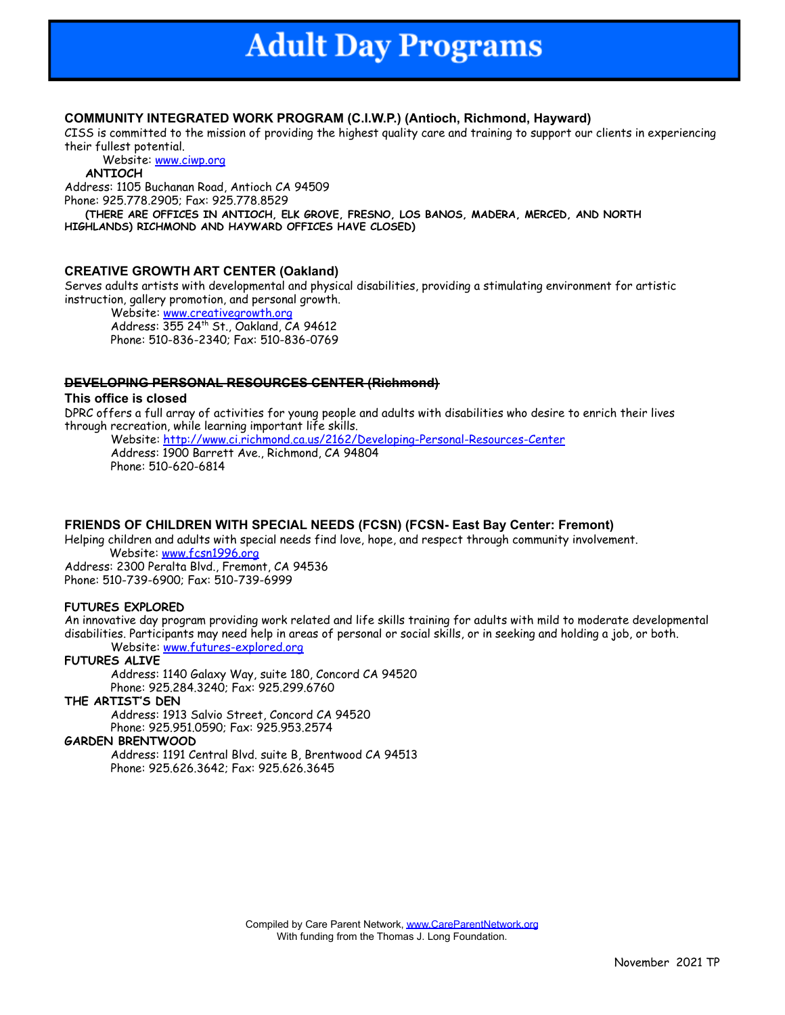## **COMMUNITY INTEGRATED WORK PROGRAM (C.I.W.P.) (Antioch, Richmond, Hayward)**

CISS is committed to the mission of providing the highest quality care and training to support our clients in experiencing their fullest potential.

Website: www.ciwp.org

#### **ANTIOCH**

Address: 1105 Buchanan Road, Antioch CA 94509 Phone: 925.778.2905; Fax: 925.778.8529

**(THERE ARE OFFICES IN ANTIOCH, ELK GROVE, FRESNO, LOS BANOS, MADERA, MERCED, AND NORTH HIGHLANDS) RICHMOND AND HAYWARD OFFICES HAVE CLOSED)**

## **CREATIVE GROWTH ART CENTER (Oakland)**

Serves adults artists with developmental and physical disabilities, providing a stimulating environment for artistic instruction, gallery promotion, and personal growth.

Website: www.creativegrowth.org Address: 355 24th St., Oakland, CA 94612 Phone: 510-836-2340; Fax: 510-836-0769

## **DEVELOPING PERSONAL RESOURCES CENTER (Richmond)**

### **This office is closed**

DPRC offers a full array of activities for young people and adults with disabilities who desire to enrich their lives through recreation, while learning important life skills.

Website: <http://www.ci.richmond.ca.us/2162/Developing-Personal-Resources-Center> Address: 1900 Barrett Ave., Richmond, CA 94804 Phone: 510-620-6814

## **FRIENDS OF CHILDREN WITH SPECIAL NEEDS (FCSN) (FCSN- East Bay Center: Fremont)**

Helping children and adults with special needs find love, hope, and respect through community involvement. Website: www.fcsn1996.org

Address: 2300 Peralta Blvd., Fremont, CA 94536 Phone: 510-739-6900; Fax: 510-739-6999

## **FUTURES EXPLORED**

An innovative day program providing work related and life skills training for adults with mild to moderate developmental disabilities. Participants may need help in areas of personal or social skills, or in seeking and holding a job, or both. Website: [www.futures-explored.org](http://www.futures-explored.org)

## **FUTURES ALIVE**

Address: 1140 Galaxy Way, suite 180, Concord CA 94520 Phone: 925.284.3240; Fax: 925.299.6760

## **THE ARTIST'S DEN**

Address: 1913 Salvio Street, Concord CA 94520 Phone: 925.951.0590; Fax: 925.953.2574

#### **GARDEN BRENTWOOD**

Address: 1191 Central Blvd. suite B, Brentwood CA 94513 Phone: 925.626.3642; Fax: 925.626.3645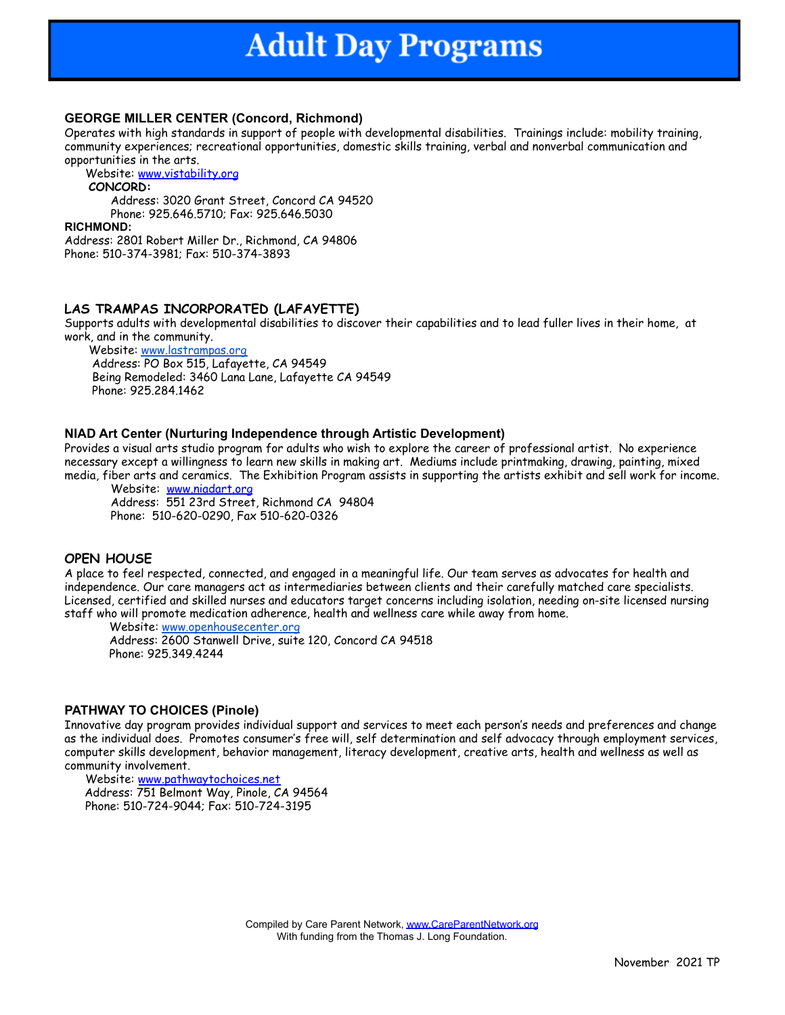## **GEORGE MILLER CENTER (Concord, Richmond)**

Operates with high standards in support of people with developmental disabilities. Trainings include: mobility training, community experiences; recreational opportunities, domestic skills training, verbal and nonverbal communication and opportunities in the arts.

Website: [www.vistability.org](http://www.vistability.org)

## **CONCORD:**

Address: 3020 Grant Street, Concord CA 94520 Phone: 925.646.5710; Fax: 925.646.5030

#### **RICHMOND:**

Address: 2801 Robert Miller Dr., Richmond, CA 94806 Phone: 510-374-3981; Fax: 510-374-3893

## **LAS TRAMPAS INCORPORATED (LAFAYETTE)**

Supports adults with developmental disabilities to discover their capabilities and to lead fuller lives in their home, at work, and in the community.

Website: [www.lastrampas.org](http://www.lastrampas.org) Address: PO Box 515, Lafayette, CA 94549 Being Remodeled: 3460 Lana Lane, Lafayette CA 94549 Phone: 925.284.1462

## **NIAD Art Center (Nurturing Independence through Artistic Development)**

Provides a visual arts studio program for adults who wish to explore the career of professional artist. No experience necessary except a willingness to learn new skills in making art. Mediums include printmaking, drawing, painting, mixed media, fiber arts and ceramics. The Exhibition Program assists in supporting the artists exhibit and sell work for income.

Website: [www.niadart.org](http://niadart.org/) Address: 551 23rd Street, Richmond CA 94804 Phone: 510-620-0290, Fax 510-620-0326

## **OPEN HOUSE**

A place to feel respected, connected, and engaged in a meaningful life. Our team serves as advocates for health and independence. Our care managers act as intermediaries between clients and their carefully matched care specialists. Licensed, certified and skilled nurses and educators target concerns including isolation, needing on-site licensed nursing staff who will promote medication adherence, health and wellness care while away from home.

Website: [www.openhousecenter.org](http://www.openhousecenter.org) Address: 2600 Stanwell Drive, suite 120, Concord CA 94518 Phone: 925.349.4244

## **PATHWAY TO CHOICES (Pinole)**

Innovative day program provides individual support and services to meet each person's needs and preferences and change as the individual does. Promotes consumer's free will, self determination and self advocacy through employment services, computer skills development, behavior management, literacy development, creative arts, health and wellness as well as community involvement.

Website: [www.pathwaytochoices.net](http://www.pathwaytochoices.net) Address: 751 Belmont Way, Pinole, CA 94564 Phone: 510-724-9044; Fax: 510-724-3195